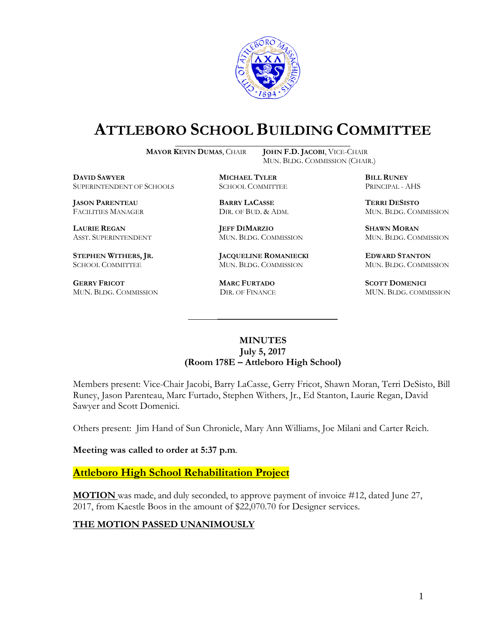

# **ATTLEBORO SCHOOL BUILDING COMMITTEE**

**MAYOR KEVIN DUMAS**, CHAIR **JOHN F.D. JACOBI**, VICE-CHAIR

MUN. BLDG. COMMISSION (CHAIR.)

**DAVID SAWYER MICHAEL TYLER BILL RUNEY** SUPERINTENDENT OF SCHOOLS

**JASON PARENTEAU BARRY LACASSE TERRI DESISTO**

**GERRY FRICOT MARC FURTADO SCOTT DOMENICI** 

**LAURIE REGAN JEFF DIMARZIO SHAWN MORAN**

**STEPHEN WITHERS, JR. JACQUELINE ROMANIECKI EDWARD STANTON** SCHOOL COMMITTEE MUN. BLDG. COMMISSION MUN. BLDG. COMMISSION

FACILITIES MANAGER DIR. OF BUD. & ADM. MUN. BLDG. COMMISSION

ASST. SUPERINTENDENT MUN. BLDG. COMMISSION MUN. BLDG. COMMISSION

MUN. BLDG. COMMISSION DIR. OF FINANCE MUN. BLDG. COMMISSION

#### **MINUTES July 5, 2017 (Room 178E – Attleboro High School)**

\_\_\_\_\_\_\_\_\_\_\_\_\_\_\_\_\_\_\_\_\_\_\_\_\_\_\_\_\_\_\_\_\_\_\_\_\_

Members present: Vice-Chair Jacobi, Barry LaCasse, Gerry Fricot, Shawn Moran, Terri DeSisto, Bill Runey, Jason Parenteau, Marc Furtado, Stephen Withers, Jr., Ed Stanton, Laurie Regan, David Sawyer and Scott Domenici.

Others present: Jim Hand of Sun Chronicle, Mary Ann Williams, Joe Milani and Carter Reich.

**Meeting was called to order at 5:37 p.m**.

### **Attleboro High School Rehabilitation Project**

**MOTION** was made, and duly seconded, to approve payment of invoice #12, dated June 27, 2017, from Kaestle Boos in the amount of \$22,070.70 for Designer services.

#### **THE MOTION PASSED UNANIMOUSLY**